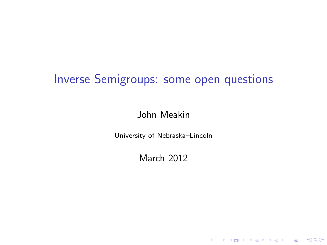# Inverse Semigroups: some open questions

#### John Meakin

<span id="page-0-0"></span>University of Nebraska–Lincoln

March 2012

KO KKOK KEK KEK LE YORO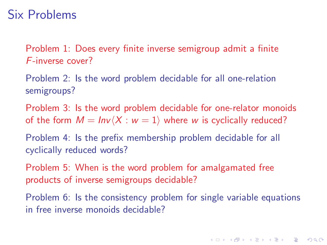### Six Problems

Problem 1: Does every finite inverse semigroup admit a finite F-inverse cover?

Problem 2: Is the word problem decidable for all one-relation semigroups?

Problem 3: Is the word problem decidable for one-relator monoids of the form  $M = Inv\langle X : w = 1 \rangle$  where w is cyclically reduced?

Problem 4: Is the prefix membership problem decidable for all cyclically reduced words?

Problem 5: When is the word problem for amalgamated free products of inverse semigroups decidable?

Problem 6: Is the consistency problem for single variable equations in free inverse monoids decidable?

**YO A REPART ARM ADD**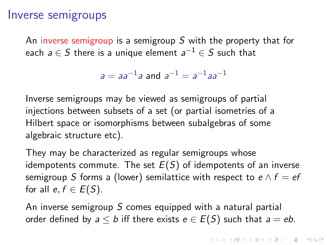#### Inverse semigroups

An inverse semigroup is a semigroup S with the property that for each  $a \in S$  there is a unique element  $a^{-1} \in S$  such that

$$
a = aa^{-1}a
$$
 and  $a^{-1} = a^{-1}aa^{-1}$ 

Inverse semigroups may be viewed as semigroups of partial injections between subsets of a set (or partial isometries of a Hilbert space or isomorphisms between subalgebras of some algebraic structure etc).

They may be characterized as regular semigroups whose idempotents commute. The set  $E(S)$  of idempotents of an inverse semigroup S forms a (lower) semilattice with respect to  $e \wedge f = ef$ for all  $e, f \in E(S)$ .

An inverse semigroup  $S$  comes equipped with a natural partial order defined by  $a \leq b$  iff there exists  $e \in E(S)$  such that  $a = eb$ .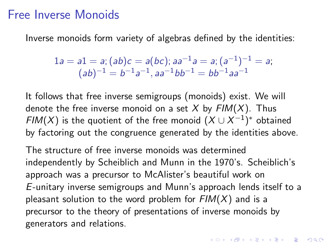#### Free Inverse Monoids

Inverse monoids form variety of algebras defined by the identities:

$$
1a = a1 = a; (ab)c = a(bc); aa^{-1}a = a; (a^{-1})^{-1} = a;
$$
  

$$
(ab)^{-1} = b^{-1}a^{-1}, aa^{-1}bb^{-1} = bb^{-1}aa^{-1}
$$

It follows that free inverse semigroups (monoids) exist. We will denote the free inverse monoid on a set  $X$  by  $FIM(X)$ . Thus  $\mathsf{FIM}(X)$  is the quotient of the free monoid  $(X \cup X^{-1})^*$  obtained by factoring out the congruence generated by the identities above.

The structure of free inverse monoids was determined independently by Scheiblich and Munn in the 1970's. Scheiblich's approach was a precursor to McAlister's beautiful work on E-unitary inverse semigroups and Munn's approach lends itself to a pleasant solution to the word problem for  $FIM(X)$  and is a precursor to the theory of presentations of inverse monoids by generators and relations.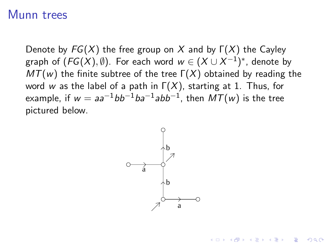#### Munn trees

Denote by  $FG(X)$  the free group on X and by  $\Gamma(X)$  the Cayley graph of  $(\mathit{FG}(X),\emptyset)$ . For each word  $w\in (X\cup X^{-1})^*$ , denote by  $MT(w)$  the finite subtree of the tree  $\Gamma(X)$  obtained by reading the word w as the label of a path in  $\Gamma(X)$ , starting at 1. Thus, for example, if  $w = a a^{-1} b b^{-1} b a^{-1} a b b^{-1}$ , then  $M \mathcal{T}(w)$  is the tree pictured below.



**YO A REPART ARM ADD**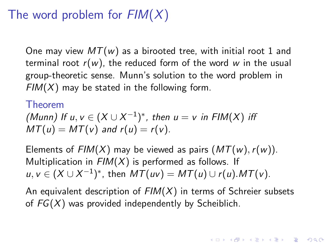# The word problem for  $FIM(X)$

One may view  $MT(w)$  as a birooted tree, with initial root 1 and terminal root  $r(w)$ , the reduced form of the word w in the usual group-theoretic sense. Munn's solution to the word problem in  $FIM(X)$  may be stated in the following form.

#### Theorem

(Munn) If 
$$
u, v \in (X \cup X^{-1})^*
$$
, then  $u = v$  in  $FIN(X)$  iff  $MT(u) = MT(v)$  and  $r(u) = r(v)$ .

Elements of  $FIM(X)$  may be viewed as pairs  $(MT(w), r(w))$ . Multiplication in  $FIM(X)$  is performed as follows. If  $u, v \in (X \cup X^{-1})^*$ , then  $MT(uv) = MT(u) \cup r(u)$ .  $MT(v)$ .

An equivalent description of  $FIM(X)$  in terms of Schreier subsets of  $FG(X)$  was provided independently by Scheiblich.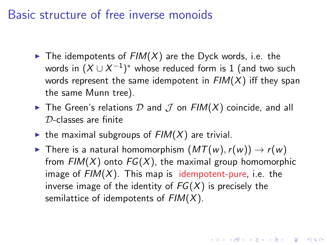### Basic structure of free inverse monoids

- $\blacktriangleright$  The idempotents of  $FIM(X)$  are the Dyck words, i.e. the words in  $(X \cup X^{-1})^*$  whose reduced form is 1 (and two such words represent the same idempotent in  $FIM(X)$  iff they span the same Munn tree).
- $\blacktriangleright$  The Green's relations  $D$  and  $J$  on  $FIM(X)$  coincide, and all D-classes are finite
- $\triangleright$  the maximal subgroups of  $FIM(X)$  are trivial.
- ► There is a natural homomorphism  $(MT(w), r(w)) \rightarrow r(w)$ from  $FIM(X)$  onto  $FG(X)$ , the maximal group homomorphic image of  $FIM(X)$ . This map is idempotent-pure, i.e. the inverse image of the identity of  $FG(X)$  is precisely the semilattice of idempotents of  $FIM(X)$ .

**A O A G A 4 O A C A G A 4 O A 4 O A A C A**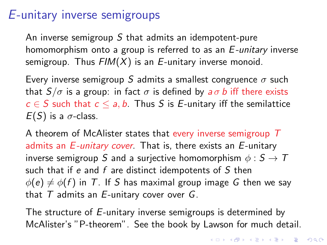## E-unitary inverse semigroups

An inverse semigroup  $S$  that admits an idempotent-pure homomorphism onto a group is referred to as an E-unitary inverse semigroup. Thus  $FIM(X)$  is an E-unitary inverse monoid.

Every inverse semigroup S admits a smallest congruence  $\sigma$  such that  $S/\sigma$  is a group: in fact  $\sigma$  is defined by  $a\sigma b$  iff there exists  $c \in S$  such that  $c \le a, b$ . Thus S is E-unitary iff the semilattice  $E(S)$  is a  $\sigma$ -class.

A theorem of McAlister states that every inverse semigroup T admits an  $E$ -unitary cover. That is, there exists an  $E$ -unitary inverse semigroup S and a surjective homomorphism  $\phi : S \to T$ such that if e and  $f$  are distinct idempotents of  $S$  then  $\phi(e) \neq \phi(f)$  in T. If S has maximal group image G then we say that  $T$  admits an  $E$ -unitary cover over  $G$ .

The structure of E-unitary inverse semigroups is determined by McAlister's "P-theorem". See the book by Lawson for much detail.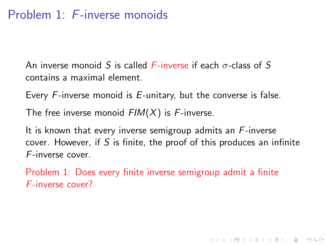## Problem 1: F-inverse monoids

An inverse monoid S is called  $F\text{-inverse}$  if each  $\sigma\text{-class}$  of S contains a maximal element.

Every F-inverse monoid is E-unitary, but the converse is false.

The free inverse monoid  $FIM(X)$  is F-inverse.

It is known that every inverse semigroup admits an  $F$ -inverse cover. However, if S is finite, the proof of this produces an infinite F-inverse cover.

**YO A REPART ARM ADD** 

Problem 1: Does every finite inverse semigroup admit a finite F-inverse cover?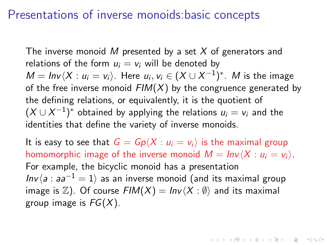### Presentations of inverse monoids:basic concepts

The inverse monoid M presented by a set X of generators and relations of the form  $u_i = v_i$  will be denoted by  $M = Inv \langle X : u_i = v_i \rangle$ . Here  $u_i, v_i \in (X \cup X^{-1})^*$ . M is the image of the free inverse monoid  $FIM(X)$  by the congruence generated by the defining relations, or equivalently, it is the quotient of  $(X \cup X^{-1})^*$  obtained by applying the relations  $u_i = v_i$  and the identities that define the variety of inverse monoids.

It is easy to see that  $G = Gp\langle X : u_i = v_i \rangle$  is the maximal group homomorphic image of the inverse monoid  $M = Inv\langle X : u_i = v_i \rangle$ . For example, the bicyclic monoid has a presentation  $Inv(a : aa^{-1} = 1)$  as an inverse monoid (and its maximal group image is  $\mathbb{Z}$ ). Of course  $FIM(X) = Inv\langle X : \emptyset \rangle$  and its maximal group image is  $FG(X)$ .

**KORK (FRAGE) EL PORCH**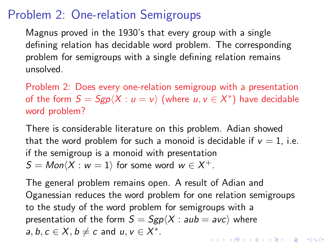# Problem 2: One-relation Semigroups

Magnus proved in the 1930's that every group with a single defining relation has decidable word problem. The corresponding problem for semigroups with a single defining relation remains unsolved.

Problem 2: Does every one-relation semigroup with a presentation of the form  $S = Sgp\langle X : u = v \rangle$  (where  $u, v \in X^*$ ) have decidable word problem?

There is considerable literature on this problem. Adian showed that the word problem for such a monoid is decidable if  $v = 1$ , i.e. if the semigroup is a monoid with presentation  $\mathcal{S} = \mathcal{M}$ on $\langle X : w = 1 \rangle$  for some word  $w \in X^+.$ 

The general problem remains open. A result of Adian and Oganessian reduces the word problem for one relation semigroups to the study of the word problem for semigroups with a presentation of the form  $S = Sgp\langle X : aub = avc \rangle$  where  $a, b, c \in X, b \neq c$  and  $u, v \in X^*$ . KID KA KERKER KID KO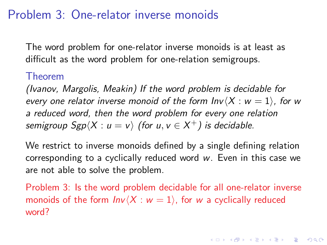### Problem 3: One-relator inverse monoids

The word problem for one-relator inverse monoids is at least as difficult as the word problem for one-relation semigroups.

#### Theorem

(Ivanov, Margolis, Meakin) If the word problem is decidable for every one relator inverse monoid of the form  $Inv\langle X : w = 1\rangle$ , for w a reduced word, then the word problem for every one relation semigroup Sgp $\langle X : \textcolor{red}{u} = \textcolor{red}{v} \rangle$  (for  $\textcolor{red}{u}, \textcolor{red}{v} \in X^+$ ) is decidable.

We restrict to inverse monoids defined by a single defining relation corresponding to a cyclically reduced word w. Even in this case we are not able to solve the problem.

Problem 3: Is the word problem decidable for all one-relator inverse monoids of the form  $Inv\langle X : w = 1 \rangle$ , for w a cyclically reduced word?

LED KAP KID KID I DAG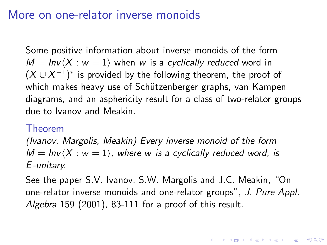### More on one-relator inverse monoids

Some positive information about inverse monoids of the form  $M = Inv\langle X : w = 1 \rangle$  when w is a cyclically reduced word in  $(X \cup X^{-1})^*$  is provided by the following theorem, the proof of which makes heavy use of Schützenberger graphs, van Kampen diagrams, and an asphericity result for a class of two-relator groups due to Ivanov and Meakin.

#### Theorem

(Ivanov, Margolis, Meakin) Every inverse monoid of the form  $M = Inv\langle X : w = 1 \rangle$ , where w is a cyclically reduced word, is E -unitary.

See the paper S.V. Ivanov, S.W. Margolis and J.C. Meakin, "On one-relator inverse monoids and one-relator groups", J. Pure Appl. Algebra 159 (2001), 83-111 for a proof of this result.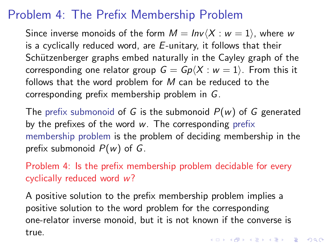# Problem 4: The Prefix Membership Problem

Since inverse monoids of the form  $M = Inv(X : w = 1)$ , where w is a cyclically reduced word, are  $E$ -unitary, it follows that their Schützenberger graphs embed naturally in the Cayley graph of the corresponding one relator group  $G = Gp(X : w = 1)$ . From this it follows that the word problem for  $M$  can be reduced to the corresponding prefix membership problem in G.

The prefix submonoid of G is the submonoid  $P(w)$  of G generated by the prefixes of the word  $w$ . The corresponding prefix membership problem is the problem of deciding membership in the prefix submonoid  $P(w)$  of G.

Problem 4: Is the prefix membership problem decidable for every cyclically reduced word w?

A positive solution to the prefix membership problem implies a positive solution to the word problem for the corresponding one-relator inverse monoid, but it is not known if the converse is true.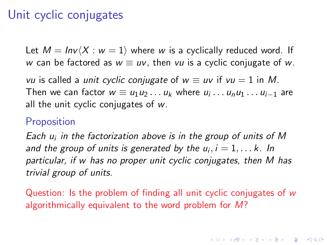# Unit cyclic conjugates

Let  $M = Inv\langle X : w = 1 \rangle$  where w is a cyclically reduced word. If w can be factored as  $w \equiv uv$ , then vu is a cyclic conjugate of w.

vu is called a unit cyclic conjugate of  $w \equiv uv$  if  $vu = 1$  in M. Then we can factor  $w \equiv u_1u_2\ldots u_k$  where  $u_i \ldots u_nu_1 \ldots u_{i-1}$  are all the unit cyclic conjugates of w.

#### **Proposition**

Each  $u_i$  in the factorization above is in the group of units of M and the group of units is generated by the  $u_i, i = 1, \ldots k$ . In particular, if w has no proper unit cyclic conjugates, then M has trivial group of units.

<span id="page-14-0"></span>Question: Is the problem of finding all unit cyclic conjugates of w algorithmically equivalent to the word problem for M?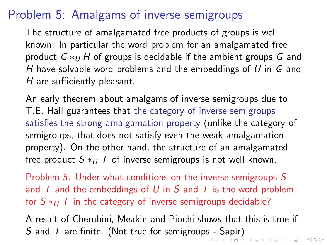# Problem 5: Amalgams of inverse semigroups

The structure of amalgamated free products of groups is well known. In particular the word problem for an amalgamated free product  $G *_{U} H$  of groups is decidable if the ambient groups G and H have solvable word problems and the embeddings of  $U$  in  $G$  and H are sufficiently pleasant.

An early theorem about amalgams of inverse semigroups due to T.E. Hall guarantees that the category of inverse semigroups satisfies the strong amalgamation property (unlike the category of semigroups, that does not satisfy even the weak amalgamation property). On the other hand, the structure of an amalgamated free product  $S * U T$  of inverse semigroups is not well known.

Problem 5. Under what conditions on the inverse semigroups S and  $T$  and the embeddings of U in S and T is the word problem for  $S \ast_U T$  in the category of inverse semigroups decidable?

<span id="page-15-0"></span>A result of Cherubini, Meakin and Piochi shows that this is true if S and T are finite. (Not true for semigroup[s -](#page-14-0) [Sa](#page-16-0)[p](#page-14-0)[ir](#page-15-0)[\)](#page-16-0)<br>All the set of the semigroups - Sapir)